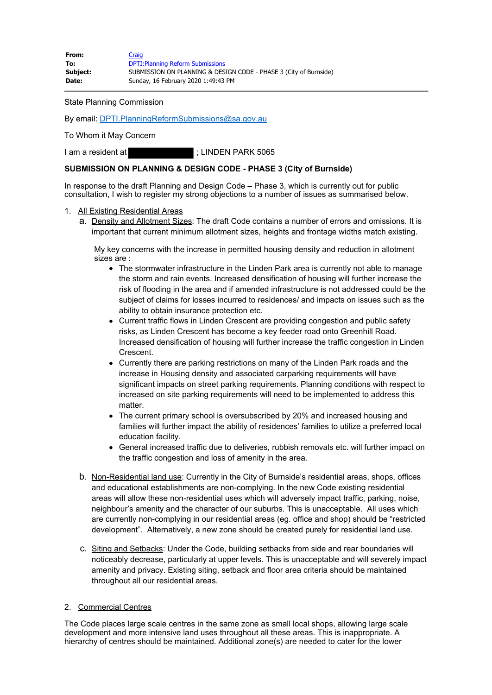| From:    | Craig                                                             |
|----------|-------------------------------------------------------------------|
| To:      | <b>DPTI: Planning Reform Submissions</b>                          |
| Subject: | SUBMISSION ON PLANNING & DESIGN CODE - PHASE 3 (City of Burnside) |
| Date:    | Sunday, 16 February 2020 1:49:43 PM                               |

State Planning Commission

By email: [DPTI.PlanningReformSubmissions@sa.gov.au](mailto:DPTI.PlanningReformSubmissions@sa.gov.au)

To Whom it May Concern

I am a resident at  $\qquad \qquad ;$  LINDEN PARK 5065

## **SUBMISSION ON PLANNING & DESIGN CODE - PHASE 3 (City of Burnside)**

In response to the draft Planning and Design Code – Phase 3, which is currently out for public consultation, I wish to register my strong objections to a number of issues as summarised below.

- 1. All Existing Residential Areas
	- a. Density and Allotment Sizes: The draft Code contains a number of errors and omissions. It is important that current minimum allotment sizes, heights and frontage widths match existing.

My key concerns with the increase in permitted housing density and reduction in allotment sizes are :

- The stormwater infrastructure in the Linden Park area is currently not able to manage the storm and rain events. Increased densification of housing will further increase the risk of flooding in the area and if amended infrastructure is not addressed could be the subject of claims for losses incurred to residences/ and impacts on issues such as the ability to obtain insurance protection etc.
- Current traffic flows in Linden Crescent are providing congestion and public safety risks, as Linden Crescent has become a key feeder road onto Greenhill Road. Increased densification of housing will further increase the traffic congestion in Linden Crescent.
- Currently there are parking restrictions on many of the Linden Park roads and the increase in Housing density and associated carparking requirements will have significant impacts on street parking requirements. Planning conditions with respect to increased on site parking requirements will need to be implemented to address this matter.
- The current primary school is oversubscribed by 20% and increased housing and families will further impact the ability of residences' families to utilize a preferred local education facility.
- General increased traffic due to deliveries, rubbish removals etc. will further impact on the traffic congestion and loss of amenity in the area.
- b. Non-Residential land use: Currently in the City of Burnside's residential areas, shops, offices and educational establishments are non-complying. In the new Code existing residential areas will allow these non-residential uses which will adversely impact traffic, parking, noise, neighbour's amenity and the character of our suburbs. This is unacceptable. All uses which are currently non-complying in our residential areas (eg. office and shop) should be "restricted development". Alternatively, a new zone should be created purely for residential land use.
- c. Siting and Setbacks: Under the Code, building setbacks from side and rear boundaries will noticeably decrease, particularly at upper levels. This is unacceptable and will severely impact amenity and privacy. Existing siting, setback and floor area criteria should be maintained throughout all our residential areas.

## 2. Commercial Centres

The Code places large scale centres in the same zone as small local shops, allowing large scale development and more intensive land uses throughout all these areas. This is inappropriate. A hierarchy of centres should be maintained. Additional zone(s) are needed to cater for the lower